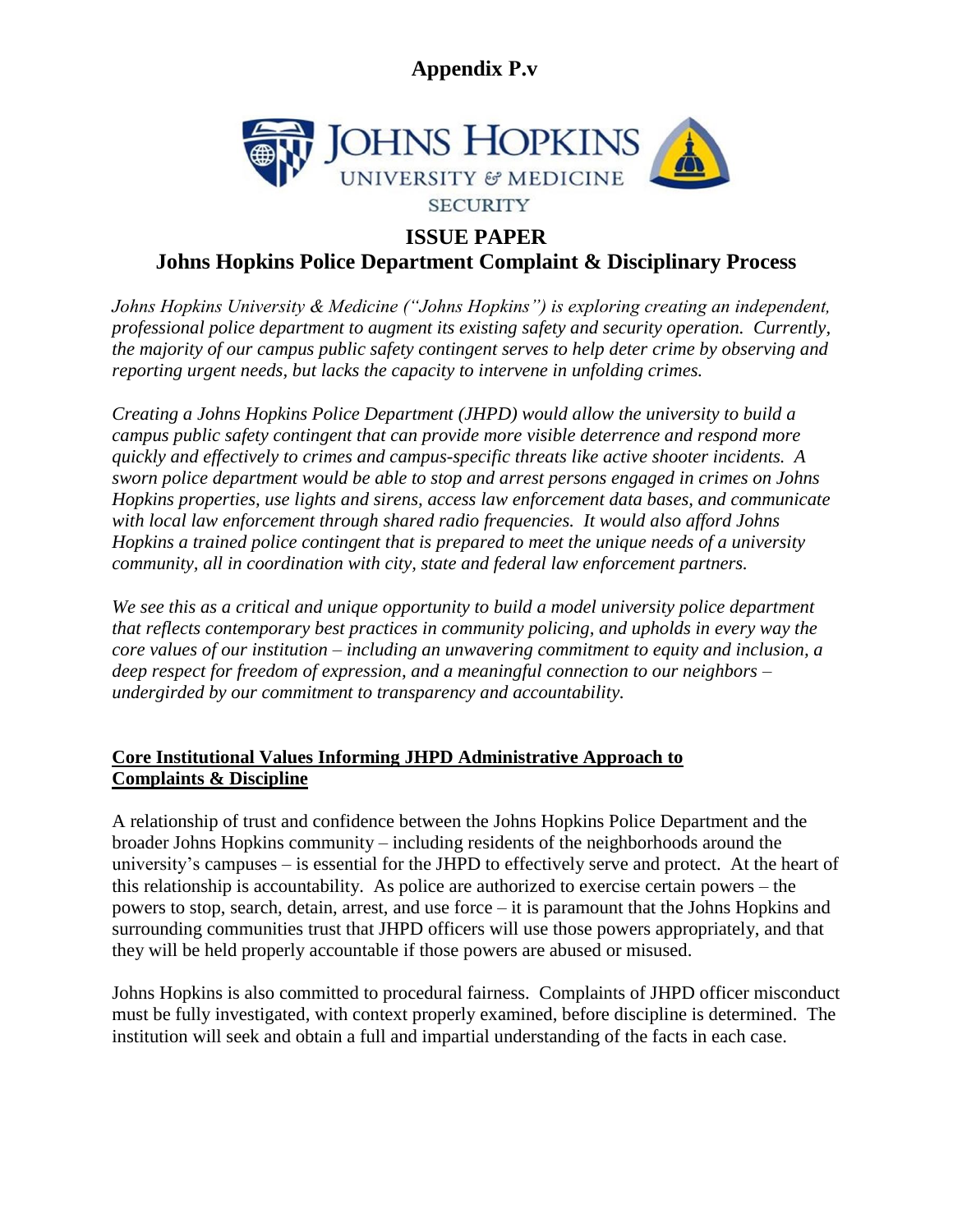

### **ISSUE PAPER**

### **Johns Hopkins Police Department Complaint & Disciplinary Process**

*Johns Hopkins University & Medicine ("Johns Hopkins") is exploring creating an independent, professional police department to augment its existing safety and security operation. Currently, the majority of our campus public safety contingent serves to help deter crime by observing and reporting urgent needs, but lacks the capacity to intervene in unfolding crimes.* 

*Creating a Johns Hopkins Police Department (JHPD) would allow the university to build a campus public safety contingent that can provide more visible deterrence and respond more quickly and effectively to crimes and campus-specific threats like active shooter incidents. A sworn police department would be able to stop and arrest persons engaged in crimes on Johns Hopkins properties, use lights and sirens, access law enforcement data bases, and communicate with local law enforcement through shared radio frequencies. It would also afford Johns Hopkins a trained police contingent that is prepared to meet the unique needs of a university community, all in coordination with city, state and federal law enforcement partners.* 

*We see this as a critical and unique opportunity to build a model university police department that reflects contemporary best practices in community policing, and upholds in every way the core values of our institution – including an unwavering commitment to equity and inclusion, a deep respect for freedom of expression, and a meaningful connection to our neighbors – undergirded by our commitment to transparency and accountability.*

#### **Core Institutional Values Informing JHPD Administrative Approach to Complaints & Discipline**

A relationship of trust and confidence between the Johns Hopkins Police Department and the broader Johns Hopkins community – including residents of the neighborhoods around the university's campuses – is essential for the JHPD to effectively serve and protect. At the heart of this relationship is accountability. As police are authorized to exercise certain powers – the powers to stop, search, detain, arrest, and use force – it is paramount that the Johns Hopkins and surrounding communities trust that JHPD officers will use those powers appropriately, and that they will be held properly accountable if those powers are abused or misused.

Johns Hopkins is also committed to procedural fairness. Complaints of JHPD officer misconduct must be fully investigated, with context properly examined, before discipline is determined. The institution will seek and obtain a full and impartial understanding of the facts in each case.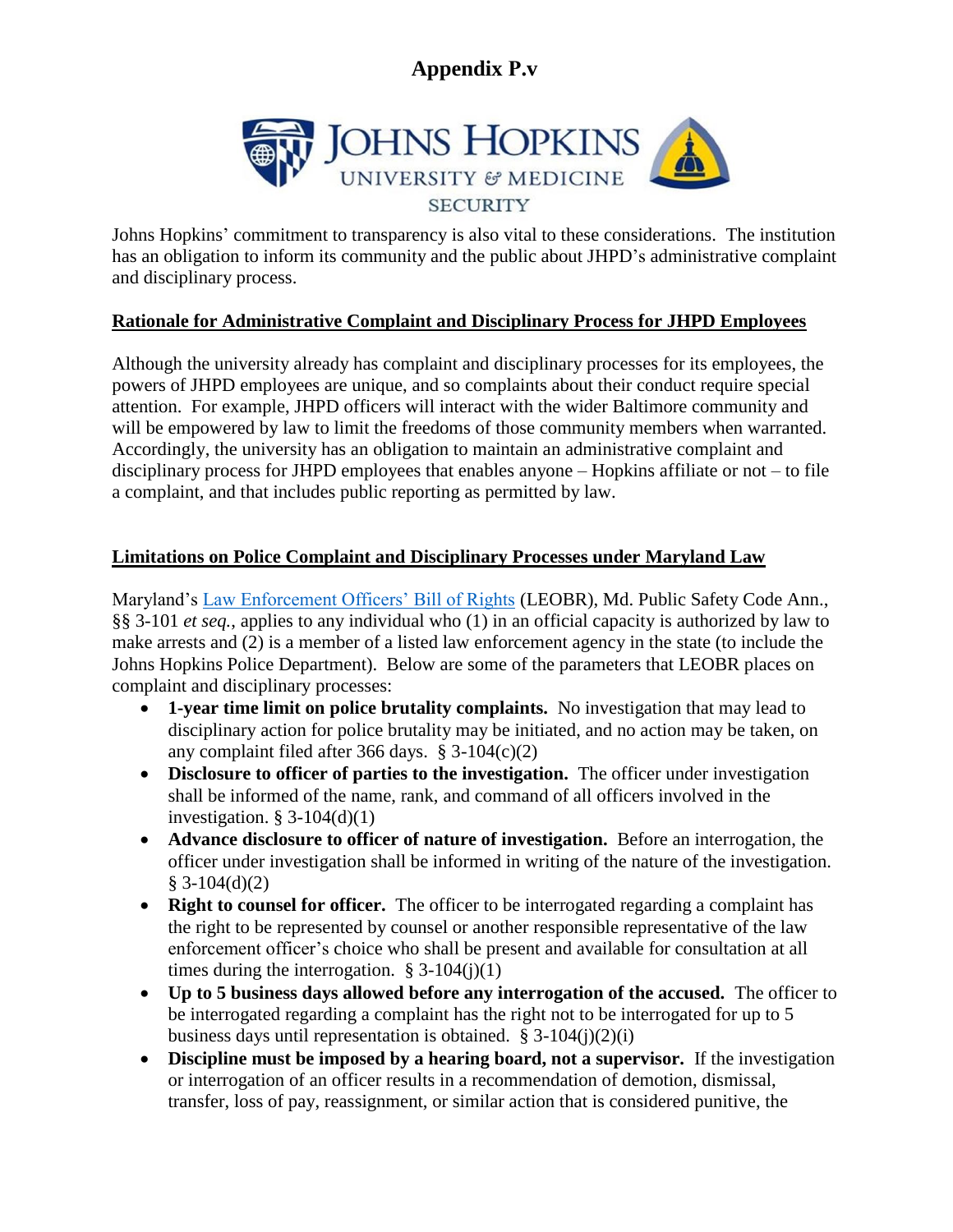

Johns Hopkins' commitment to transparency is also vital to these considerations. The institution has an obligation to inform its community and the public about JHPD's administrative complaint and disciplinary process.

#### **Rationale for Administrative Complaint and Disciplinary Process for JHPD Employees**

Although the university already has complaint and disciplinary processes for its employees, the powers of JHPD employees are unique, and so complaints about their conduct require special attention. For example, JHPD officers will interact with the wider Baltimore community and will be empowered by law to limit the freedoms of those community members when warranted. Accordingly, the university has an obligation to maintain an administrative complaint and disciplinary process for JHPD employees that enables anyone – Hopkins affiliate or not – to file a complaint, and that includes public reporting as permitted by law.

#### **Limitations on Police Complaint and Disciplinary Processes under Maryland Law**

Maryland's [Law Enforcement Officers' Bill of Rights](https://law.justia.com/codes/maryland/2017/public-safety/title-3/subtitle-1/) (LEOBR), Md. Public Safety Code Ann., §§ 3-101 *et seq.*, applies to any individual who (1) in an official capacity is authorized by law to make arrests and (2) is a member of a listed law enforcement agency in the state (to include the Johns Hopkins Police Department). Below are some of the parameters that LEOBR places on complaint and disciplinary processes:

- **1-year time limit on police brutality complaints.** No investigation that may lead to disciplinary action for police brutality may be initiated, and no action may be taken, on any complaint filed after 366 days. § 3-104(c)(2)
- **Disclosure to officer of parties to the investigation.** The officer under investigation shall be informed of the name, rank, and command of all officers involved in the investigation.  $\S$  3-104(d)(1)
- **Advance disclosure to officer of nature of investigation.** Before an interrogation, the officer under investigation shall be informed in writing of the nature of the investigation.  $§ 3-104(d)(2)$
- **Right to counsel for officer.** The officer to be interrogated regarding a complaint has the right to be represented by counsel or another responsible representative of the law enforcement officer's choice who shall be present and available for consultation at all times during the interrogation.  $\S 3-104(i)(1)$
- **Up to 5 business days allowed before any interrogation of the accused.** The officer to be interrogated regarding a complaint has the right not to be interrogated for up to 5 business days until representation is obtained.  $\S$  3-104(j)(2)(i)
- **Discipline must be imposed by a hearing board, not a supervisor.** If the investigation or interrogation of an officer results in a recommendation of demotion, dismissal, transfer, loss of pay, reassignment, or similar action that is considered punitive, the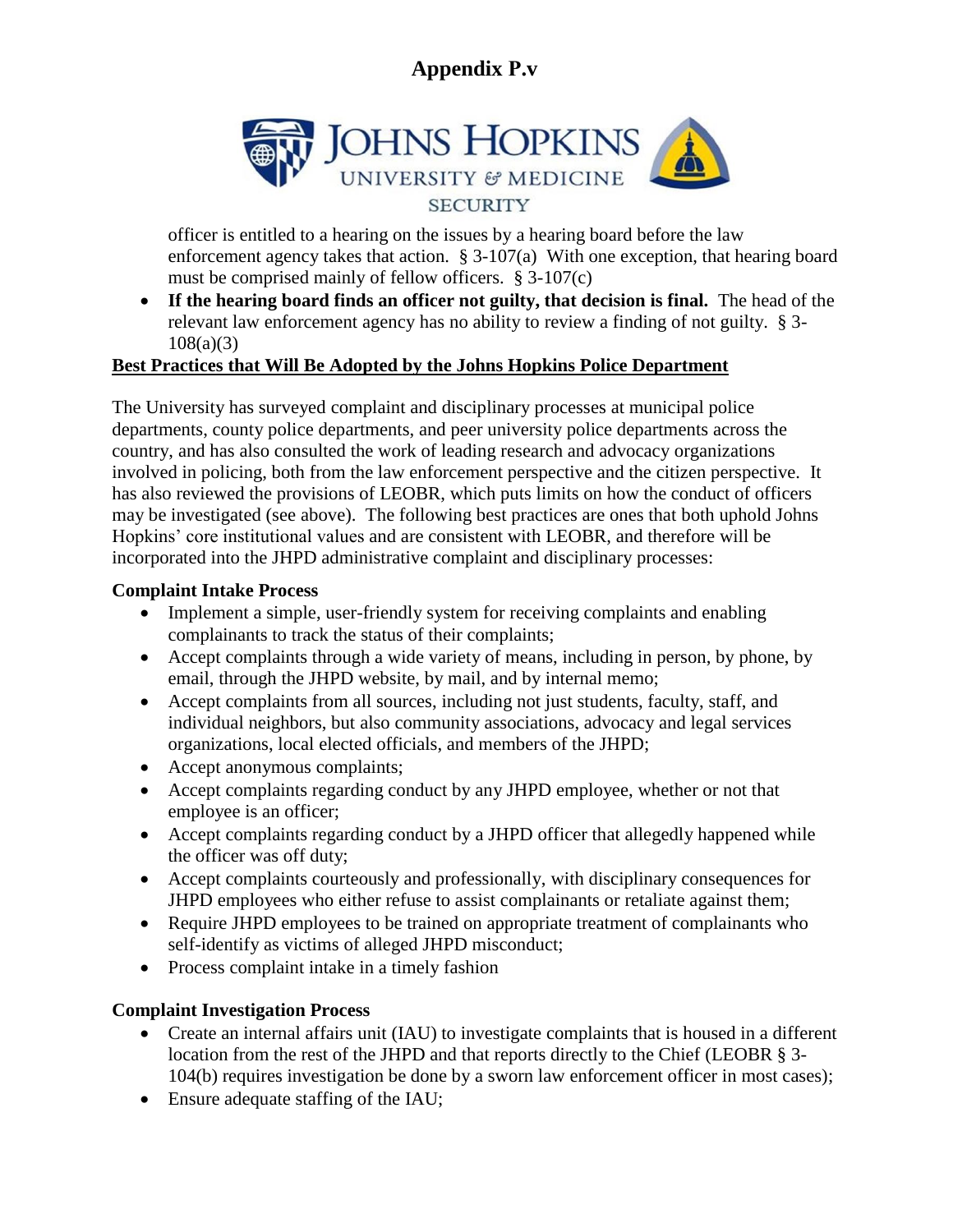

officer is entitled to a hearing on the issues by a hearing board before the law enforcement agency takes that action. § 3-107(a) With one exception, that hearing board must be comprised mainly of fellow officers.  $\S 3-107(c)$ 

 **If the hearing board finds an officer not guilty, that decision is final.** The head of the relevant law enforcement agency has no ability to review a finding of not guilty. § 3-  $108(a)(3)$ 

### **Best Practices that Will Be Adopted by the Johns Hopkins Police Department**

The University has surveyed complaint and disciplinary processes at municipal police departments, county police departments, and peer university police departments across the country, and has also consulted the work of leading research and advocacy organizations involved in policing, both from the law enforcement perspective and the citizen perspective. It has also reviewed the provisions of LEOBR, which puts limits on how the conduct of officers may be investigated (see above). The following best practices are ones that both uphold Johns Hopkins' core institutional values and are consistent with LEOBR, and therefore will be incorporated into the JHPD administrative complaint and disciplinary processes:

#### **Complaint Intake Process**

- Implement a simple, user-friendly system for receiving complaints and enabling complainants to track the status of their complaints;
- Accept complaints through a wide variety of means, including in person, by phone, by email, through the JHPD website, by mail, and by internal memo;
- Accept complaints from all sources, including not just students, faculty, staff, and individual neighbors, but also community associations, advocacy and legal services organizations, local elected officials, and members of the JHPD;
- Accept anonymous complaints;
- Accept complaints regarding conduct by any JHPD employee, whether or not that employee is an officer;
- Accept complaints regarding conduct by a JHPD officer that allegedly happened while the officer was off duty;
- Accept complaints courteously and professionally, with disciplinary consequences for JHPD employees who either refuse to assist complainants or retaliate against them;
- Require JHPD employees to be trained on appropriate treatment of complainants who self-identify as victims of alleged JHPD misconduct;
- Process complaint intake in a timely fashion

### **Complaint Investigation Process**

- Create an internal affairs unit (IAU) to investigate complaints that is housed in a different location from the rest of the JHPD and that reports directly to the Chief (LEOBR § 3- 104(b) requires investigation be done by a sworn law enforcement officer in most cases);
- Ensure adequate staffing of the IAU;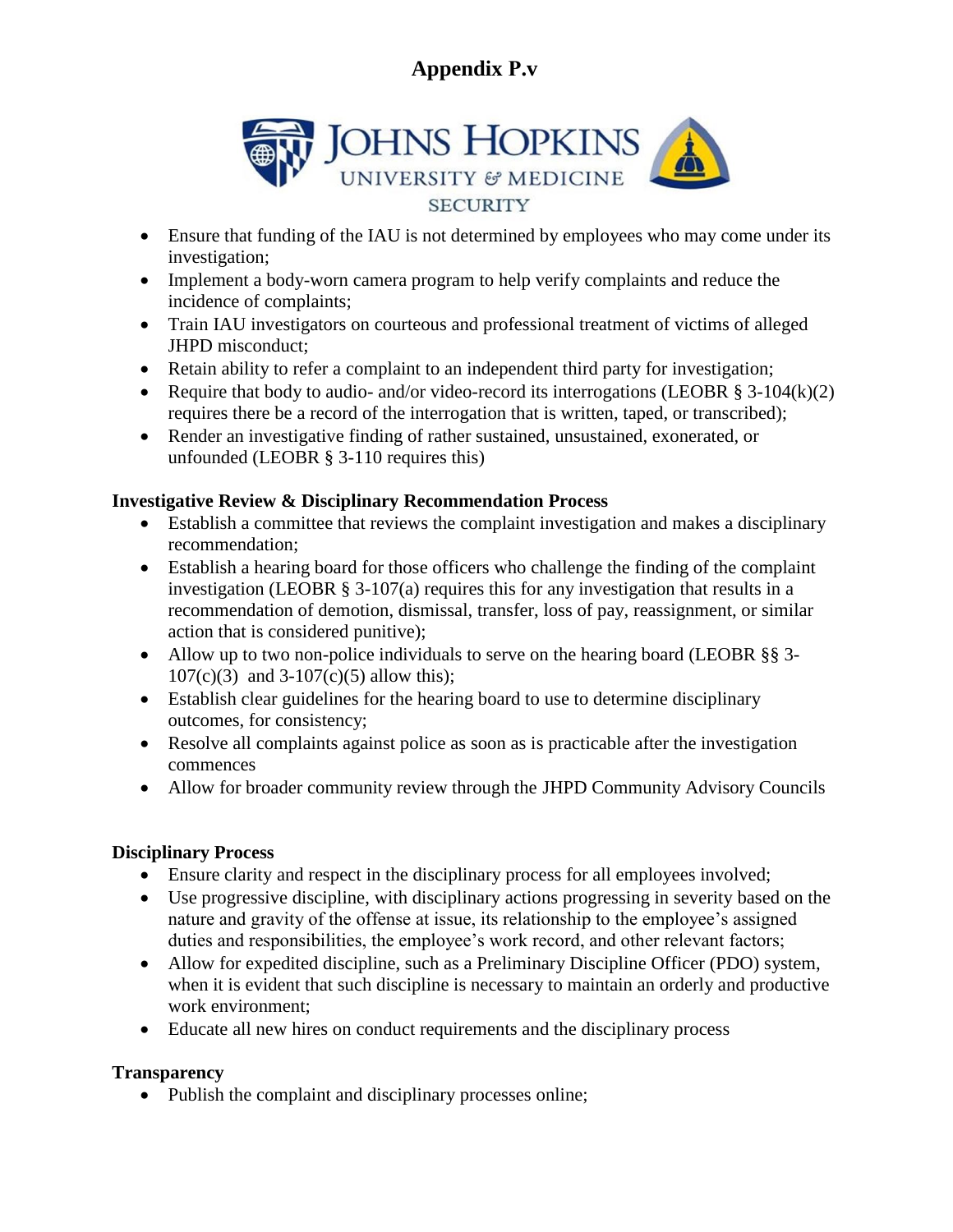

- Ensure that funding of the IAU is not determined by employees who may come under its investigation;
- Implement a body-worn camera program to help verify complaints and reduce the incidence of complaints;
- Train IAU investigators on courteous and professional treatment of victims of alleged JHPD misconduct;
- Retain ability to refer a complaint to an independent third party for investigation;
- Require that body to audio- and/or video-record its interrogations (LEOBR  $\S$  3-104(k)(2) requires there be a record of the interrogation that is written, taped, or transcribed);
- Render an investigative finding of rather sustained, unsustained, exonerated, or unfounded (LEOBR § 3-110 requires this)

### **Investigative Review & Disciplinary Recommendation Process**

- Establish a committee that reviews the complaint investigation and makes a disciplinary recommendation;
- Establish a hearing board for those officers who challenge the finding of the complaint investigation (LEOBR  $\S$  3-107(a) requires this for any investigation that results in a recommendation of demotion, dismissal, transfer, loss of pay, reassignment, or similar action that is considered punitive);
- Allow up to two non-police individuals to serve on the hearing board (LEOBR §§ 3-107(c)(3) and 3-107(c)(5) allow this);
- Establish clear guidelines for the hearing board to use to determine disciplinary outcomes, for consistency;
- Resolve all complaints against police as soon as is practicable after the investigation commences
- Allow for broader community review through the JHPD Community Advisory Councils

### **Disciplinary Process**

- Ensure clarity and respect in the disciplinary process for all employees involved;
- Use progressive discipline, with disciplinary actions progressing in severity based on the nature and gravity of the offense at issue, its relationship to the employee's assigned duties and responsibilities, the employee's work record, and other relevant factors;
- Allow for expedited discipline, such as a Preliminary Discipline Officer (PDO) system, when it is evident that such discipline is necessary to maintain an orderly and productive work environment;
- Educate all new hires on conduct requirements and the disciplinary process

### **Transparency**

• Publish the complaint and disciplinary processes online;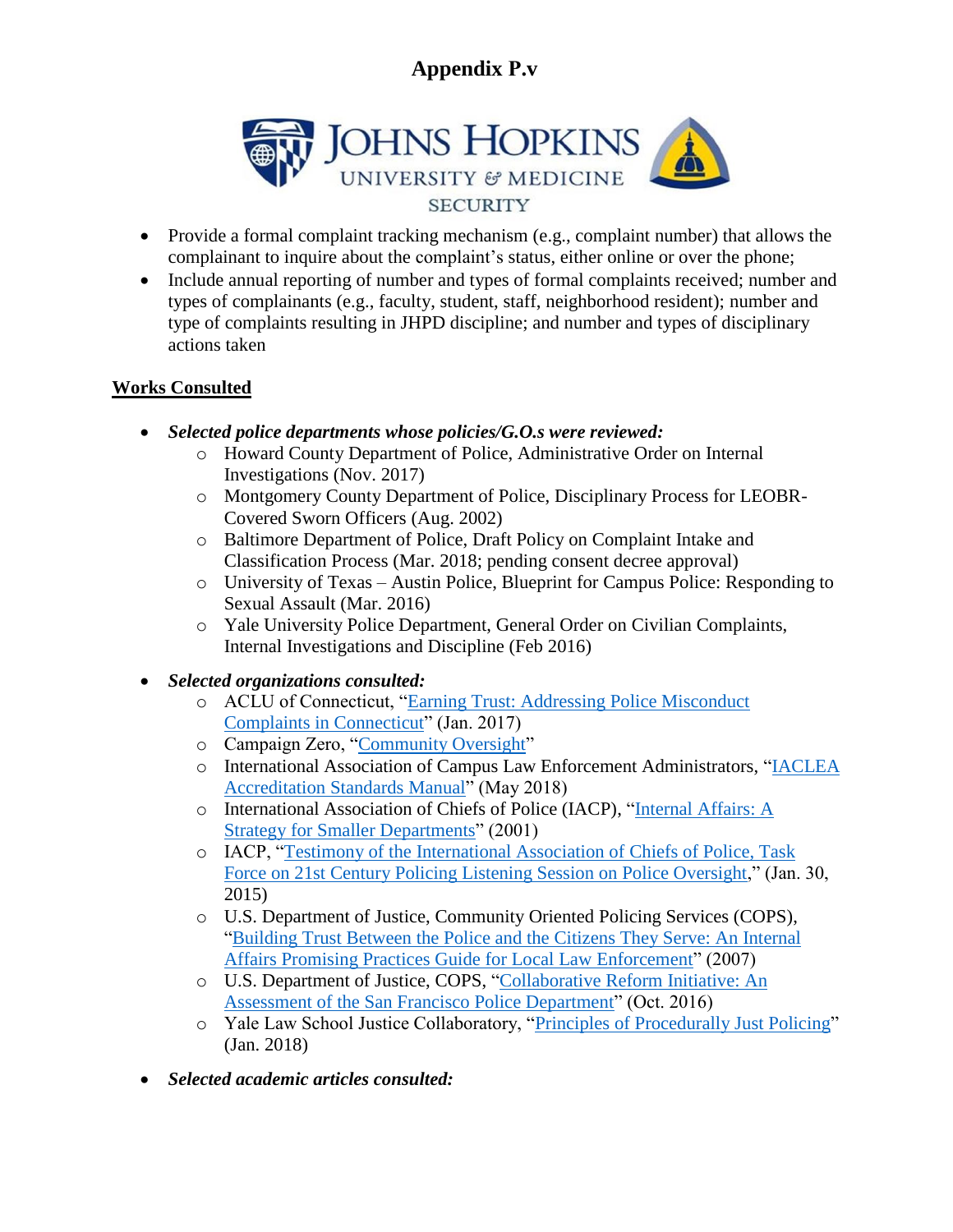

- Provide a formal complaint tracking mechanism (e.g., complaint number) that allows the complainant to inquire about the complaint's status, either online or over the phone;
- Include annual reporting of number and types of formal complaints received; number and types of complainants (e.g., faculty, student, staff, neighborhood resident); number and type of complaints resulting in JHPD discipline; and number and types of disciplinary actions taken

### **Works Consulted**

- *Selected police departments whose policies/G.O.s were reviewed:*
	- o Howard County Department of Police, Administrative Order on Internal Investigations (Nov. 2017)
	- o Montgomery County Department of Police, Disciplinary Process for LEOBR-Covered Sworn Officers (Aug. 2002)
	- o Baltimore Department of Police, Draft Policy on Complaint Intake and Classification Process (Mar. 2018; pending consent decree approval)
	- o University of Texas Austin Police, Blueprint for Campus Police: Responding to Sexual Assault (Mar. 2016)
	- o Yale University Police Department, General Order on Civilian Complaints, Internal Investigations and Discipline (Feb 2016)
- *Selected organizations consulted:*
	- o ACLU of Connecticut, ["Earning Trust: Addressing Police Misconduct](https://www.acluct.org/en/publications-earning-trust) [Complaints in Connecticut"](https://www.acluct.org/en/publications-earning-trust) (Jan. 2017)
	- o Campaign Zero, ["Community Oversight"](https://www.joincampaignzero.org/oversight)
	- o International Association of Campus Law Enforcement Administrators, ["IACLEA](https://www.iaclea.org/assets/uploads/pdfs/AccreditationStandards%20ManualMay2018.pdf) [Accreditation Standards Manual"](https://www.iaclea.org/assets/uploads/pdfs/AccreditationStandards%20ManualMay2018.pdf) (May 2018)
	- o International Association of Chiefs of Police (IACP), ["Internal Affairs: A](http://www.theiacp.org/portals/0/pdfs/BP-InternalAffairs.pdf) [Strategy for Smaller Departments"](http://www.theiacp.org/portals/0/pdfs/BP-InternalAffairs.pdf) (2001)
	- o IACP, ["Testimony of the International Association of Chiefs of Police, Task](http://www.theiacp.org/Portals/0/documents/pdfs/IACPTestimonyListeningSessionPolicyandOversight.pdf) [Force on 21st Century Policing Listening Session on Police Oversight,](http://www.theiacp.org/Portals/0/documents/pdfs/IACPTestimonyListeningSessionPolicyandOversight.pdf)" (Jan. 30, 2015)
	- o U.S. Department of Justice, Community Oriented Policing Services (COPS), ["Building Trust Between the Police and the Citizens They Serve: An Internal](http://www.theiacp.org/portals/0/pdfs/buildingtrust.pdf) [Affairs Promising Practices Guide for Local Law Enforcement"](http://www.theiacp.org/portals/0/pdfs/buildingtrust.pdf) (2007)
	- o U.S. Department of Justice, COPS, ["Collaborative Reform Initiative: An](https://ric-zai-inc.com/Publications/cops-w0817-pub.pdf) [Assessment of the San Francisco Police Department"](https://ric-zai-inc.com/Publications/cops-w0817-pub.pdf) (Oct. 2016)
	- o Yale Law School Justice Collaboratory, ["Principles of Procedurally Just Policing"](https://law.yale.edu/system/files/area/center/justice/principles_of_procedurally_just_policing_report.pdf) (Jan. 2018)
- *Selected academic articles consulted:*